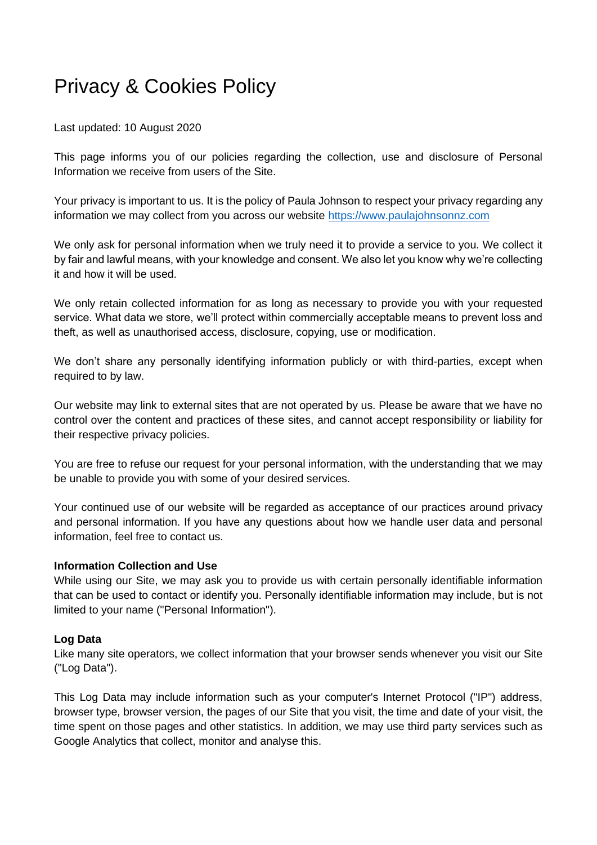# Privacy & Cookies Policy

Last updated: 10 August 2020

This page informs you of our policies regarding the collection, use and disclosure of Personal Information we receive from users of the Site.

Your privacy is important to us. It is the policy of Paula Johnson to respect your privacy regarding any information we may collect from you across our website [https://www.paulajohnsonnz.com](https://www.paulajohnsonnz.com/)

We only ask for personal information when we truly need it to provide a service to you. We collect it by fair and lawful means, with your knowledge and consent. We also let you know why we're collecting it and how it will be used.

We only retain collected information for as long as necessary to provide you with your requested service. What data we store, we'll protect within commercially acceptable means to prevent loss and theft, as well as unauthorised access, disclosure, copying, use or modification.

We don't share any personally identifying information publicly or with third-parties, except when required to by law.

Our website may link to external sites that are not operated by us. Please be aware that we have no control over the content and practices of these sites, and cannot accept responsibility or liability for their respective privacy policies.

You are free to refuse our request for your personal information, with the understanding that we may be unable to provide you with some of your desired services.

Your continued use of our website will be regarded as acceptance of our practices around privacy and personal information. If you have any questions about how we handle user data and personal information, feel free to contact us.

#### **Information Collection and Use**

While using our Site, we may ask you to provide us with certain personally identifiable information that can be used to contact or identify you. Personally identifiable information may include, but is not limited to your name ("Personal Information").

#### **Log Data**

Like many site operators, we collect information that your browser sends whenever you visit our Site ("Log Data").

This Log Data may include information such as your computer's Internet Protocol ("IP") address, browser type, browser version, the pages of our Site that you visit, the time and date of your visit, the time spent on those pages and other statistics. In addition, we may use third party services such as Google Analytics that collect, monitor and analyse this.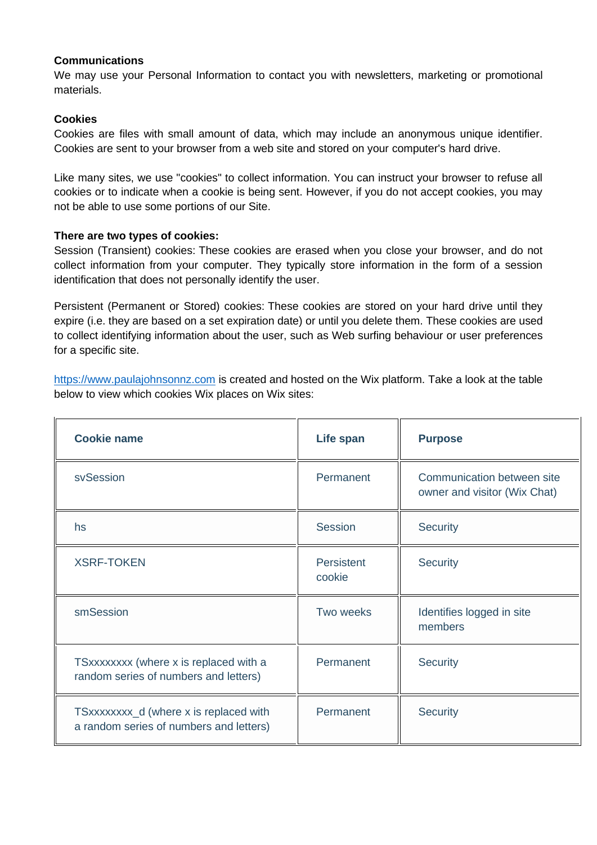## **Communications**

We may use your Personal Information to contact you with newsletters, marketing or promotional materials.

## **Cookies**

Cookies are files with small amount of data, which may include an anonymous unique identifier. Cookies are sent to your browser from a web site and stored on your computer's hard drive.

Like many sites, we use "cookies" to collect information. You can instruct your browser to refuse all cookies or to indicate when a cookie is being sent. However, if you do not accept cookies, you may not be able to use some portions of our Site.

#### **There are two types of cookies:**

Session (Transient) cookies: These cookies are erased when you close your browser, and do not collect information from your computer. They typically store information in the form of a session identification that does not personally identify the user.

Persistent (Permanent or Stored) cookies: These cookies are stored on your hard drive until they expire (i.e. they are based on a set expiration date) or until you delete them. These cookies are used to collect identifying information about the user, such as Web surfing behaviour or user preferences for a specific site.

[https://www.paulajohnsonnz.com](https://www.paulajohnsonnz.com/) is created and hosted on the Wix platform. Take a look at the table below to view which cookies Wix places on Wix sites:

| <b>Cookie name</b>                                                                | Life span            | <b>Purpose</b>                                             |
|-----------------------------------------------------------------------------------|----------------------|------------------------------------------------------------|
| svSession                                                                         | Permanent            | Communication between site<br>owner and visitor (Wix Chat) |
| hs                                                                                | Session              | <b>Security</b>                                            |
| <b>XSRF-TOKEN</b>                                                                 | Persistent<br>cookie | <b>Security</b>                                            |
| smSession                                                                         | Two weeks            | Identifies logged in site<br>members                       |
| TSxxxxxxxx (where x is replaced with a<br>random series of numbers and letters)   | Permanent            | <b>Security</b>                                            |
| TSxxxxxxxx_d (where x is replaced with<br>a random series of numbers and letters) | Permanent            | <b>Security</b>                                            |